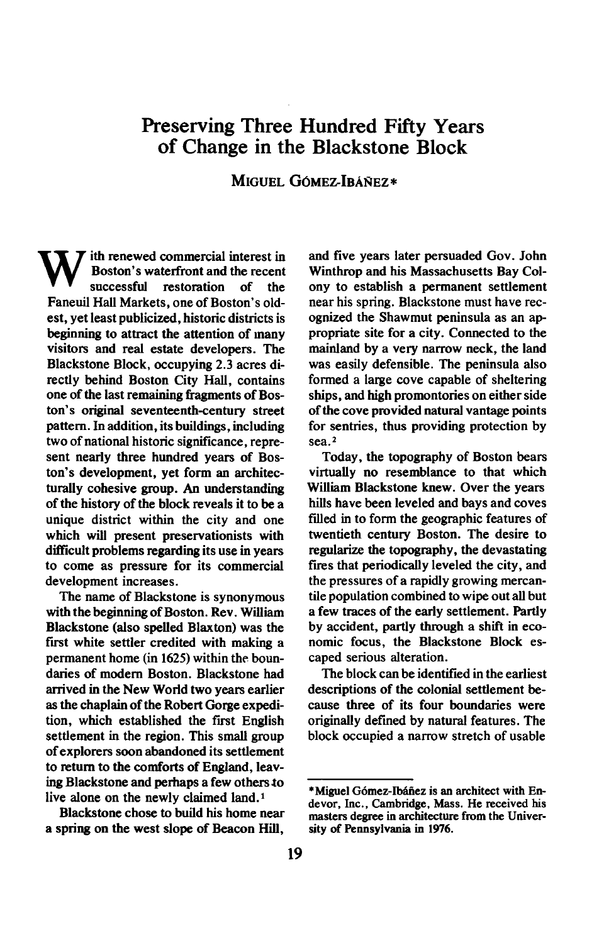## **Preserving Three Hundred Fifty Years of Change in the Blackstone Block**

**MIGUEL GÓMEZ-IBÁÑEZ\*** 

**W** ith renewed commercial interest in Boston's waterfront and the recent successful restoration of the **Boston's waterfront and the recent successful restoration of the Faneuil Hall Markets, one of Boston's oldest, yet least publicized, historic districts is beginning to attract the attention of many visitors and real estate developers. The Blackstone Block, occupying 2.3 acres directly behind Boston City Hall, contains one of the last remaining fragments of Boston's original seventeenth-century street pattern. In addition, its buildings, including two of national historic significance, represent nearly three hundred years of Boston's development, yet form an architecturally cohesive group. An understanding of the history of the block reveals it to be a unique district within the city and one which will present preservationists with difficult problems regarding its use in years to come as pressure for its commercial development increases.** 

**The name of Blackstone is synonymous with the beginning of Boston. Rev. William Blackstone (also spelled Blaxton) was the**  first white settler credited with making a **permanent home (in 1625) within the boundaries of modem Boston. Blackstone had arrived in the New World two years earlier as the chaplain of the Robert Gorge expedi**tion, which established the first English **settlement in the region. This small group of explorers soon abandoned its settlement to return to the comforts of England, leaving Blackstone and perhaps a few others to live alone on the newly claimed land.1** 

**Blackstone chose to build his home near a spring on the west slope of Beacon Hill,** 

**and five years later persuaded Gov. John Winthrop and his Massachusetts Bay Colony to establish a permanent settlement near his spring. Blackstone must have recognized the Shawmut peninsula as an appropriate site for a city. Connected to the mainland by a very narrow neck, the land was easily defensible. The peninsula also formed a large cove capable of sheltering ships, and high promontories on either side of the cove provided natural vantage points for sentries, thus providing protection by sea.2** 

**Today, the topography of Boston bears virtually no resemblance to that which William Blackstone knew. Over the years hills have been leveled and bays and coves filled in to form the geographic features of twentieth century Boston. The desire to regularize the topography, the devastating fires that periodically leveled the city, and the pressures of a rapidly growing mercantile population combined to wipe out all but a few traces of the early settlement. Partly**  by accident, partly through a shift in eco**nomic focus, the Blackstone Block escaped serious alteration.** 

**The block can be identified in the earliest descriptions of the colonial settlement because three of its four boundaries were originally defined by natural features. The block occupied a narrow stretch of usable** 

<sup>\*</sup>Miguel Gómez-Ibáñez is an architect with En**devor, Inc., Cambridge, Mass. He received his masters degree in architecture from the Univer**sity of Pennsylvania in 1976.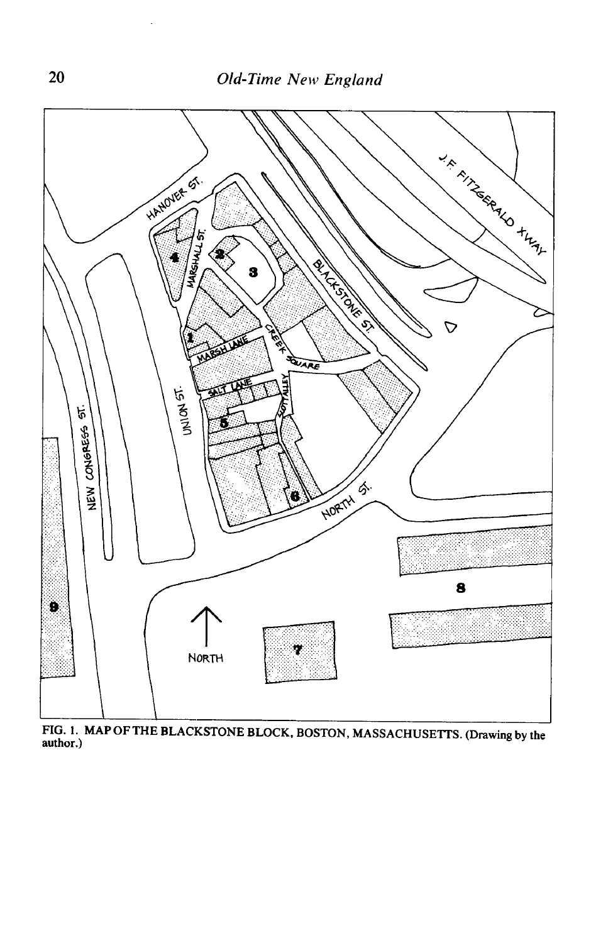

**FIG. 1. MAP OF THE BLACKSTONE BLOCK, BOSTON, MASSACHUSETTS. (Drawing by the author.)**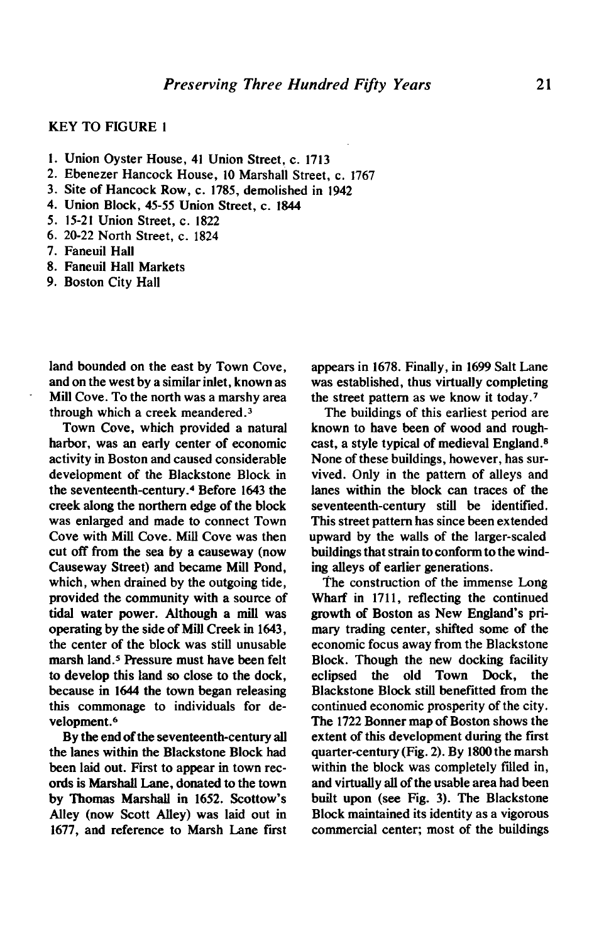## **KEY TO FIGURE 1**

- **1. Union Oyster House, 41 Union Street, c. 1713**
- **2. Ebenezer Hancock House, 10 Marshall Street, c. 1767**
- **3. Site of Hancock Row, c. 1785, demolished in 1942**
- **4. Union Block, 45-55 Union Street, c. 1844**
- **5. 15-21 Union Street, c. 1822**
- **6. 20-22 North Street, c. 1824**
- **7. Faneuil Hall**
- **8. Faneuil Hall Markets**
- **9. Boston City Hall**

**land bounded on the east by Town Cove, and on the west by a similar inlet, known as Mill Cove. To the north was a marshy area through which a creek meandered.3** 

**Town Cove, which provided a natural harbor, was an early center of economic activity in Boston and caused considerable development of the Blackstone Block in the seventeenth-century.4 Before 1643 the creek along the northern edge of the block was enlarged and made to connect Town Cove with Mill Cove. Mill Cove was then cut off from the sea by a causeway (now Causeway Street) and became Mill Pond, which, when drained by the outgoing tide, provided the community with a source of tidal water power. Although a mill was operating by the side of Mill Creek in 1643, the center of the block was still unusable marsh land.5 Pressure must have been felt to develop this land so close to the dock, because in 1644 the town began releasing this commonage to individuals for development.6** 

**By the end of the seventeenth-century all the lanes within the Blackstone Block had been laid out. First to appear in town records is Marshall Lane, donated to the town by Thomas Marshall in 1652. Scottow's Alley (now Scott Alley) was laid out in 1677, and reference to Marsh Lane first**  **appears in 1678. Finally, in 1699 Salt Lane was established, thus virtually completing the street pattern as we know it today.'** 

**The buildings of this earliest period are known to have been of wood and roughcast, a style typical of medieval England.\* None of these buildings, however, has survived. Only in the pattern of alleys and lanes within the block can traces of the seventeenth-century still be identified. This street pattern has since been extended upward by the walls of the larger-scaled buildings that strain to conform to the winding alleys of earlier generations.** 

**The construction of the immense Long Wharf in 1711, reflecting the continued growth of Boston as New England's primary trading center, shifted some of the economic focus away from the Blackstone Block. Though the new docking facility eclipsed the old Town Dock, the Blackstone Block still benefitted from the continued economic prosperity of the city. The 1722 Bonner map of Boston shows the extent of this development during the first quarter-century(Fig. 2). By 1800 the marsh within the block was completely filled in, and virtually all of the usable area had been built upon (see Fig. 3). The Blackstone Block maintained its identity as a vigorous commercial center; most of the buildings**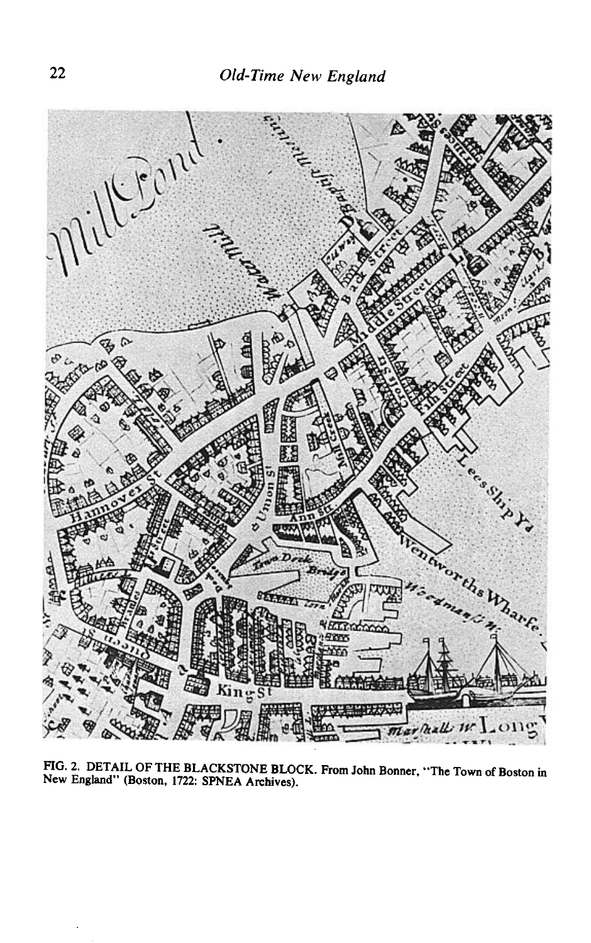

**FIG. 2. DETAIL OF THE BLACKSTONE BLOCK. From John Bonner, "The Town of Boston in New England" (Boston, 1722: SPNEA Archives).**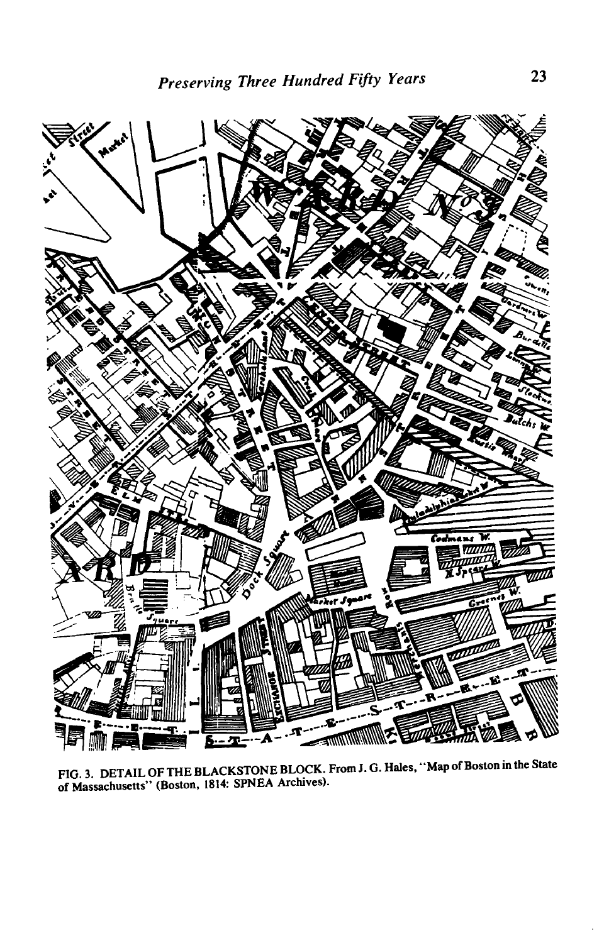

**FIG. 3. DETAIL OF THE BLACKSTONE BLOCK. From J. G. Hales, "Map of Boston in the State of Massachusetts" (Boston, 1814: SPNEA Archives).**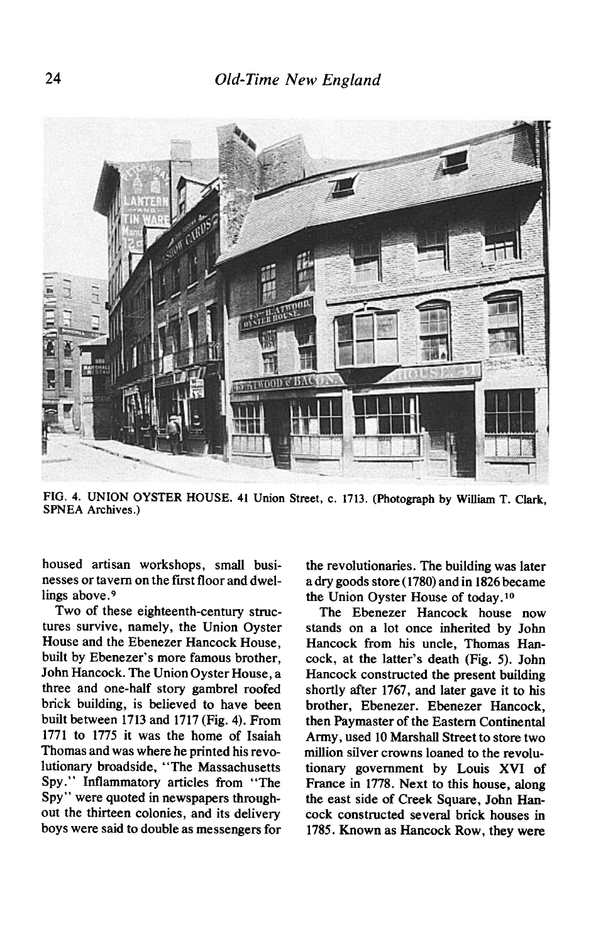

**FIG. 4. UNION OYSTER HOUSE. 41 Union Street, c. 1713. (Photograph by William T. Clark, SPNEA Archives.)** 

**housed artisan workshops, small busi**nesses or tayern on the first floor and dwel**lings above.9** 

**Two of these eighteenth-century structures survive, namely, the Union Oyster House and the Ebenezer Hancock House, built by Ebenezer's more famous brother, John Hancock. The Union Oyster House, a three and one-half story gambrel roofed brick building, is believed to have been built between 1713 and 1717 (Fig. 4). From 1771 to 1775 it was the home of Isaiah Thomas and was where he printed his revolutionary broadside, "The Massachusetts**  Spy." Inflammatory articles from "The **Spy" were quoted in newspapers throughout the thirteen colonies, and its delivery boys were said to double as messengers for** 

**the revolutionaries. The building was later a dry goods store (1780) and in 1826 became**  the Union Oyster House of today.<sup>10</sup>

**The Ebenezer Hancock house now stands on a lot once inherited by John Hancock from his uncle, Thomas Hancock, at the latter's death (Fig. 5). John Hancock constructed the present building shortly after 1767, and later gave it to his brother, Ebenezer. Ebenezer Hancock, then Paymaster of the Eastern Continental Army, used 10 Marshall Street to store two million silver crowns loaned to the revolutionary government by Louis XVI of France in 1778. Next to this house, along the east side of Creek Square, John Hancock constructed several brick houses in 1785. Known as Hancock Row, they were**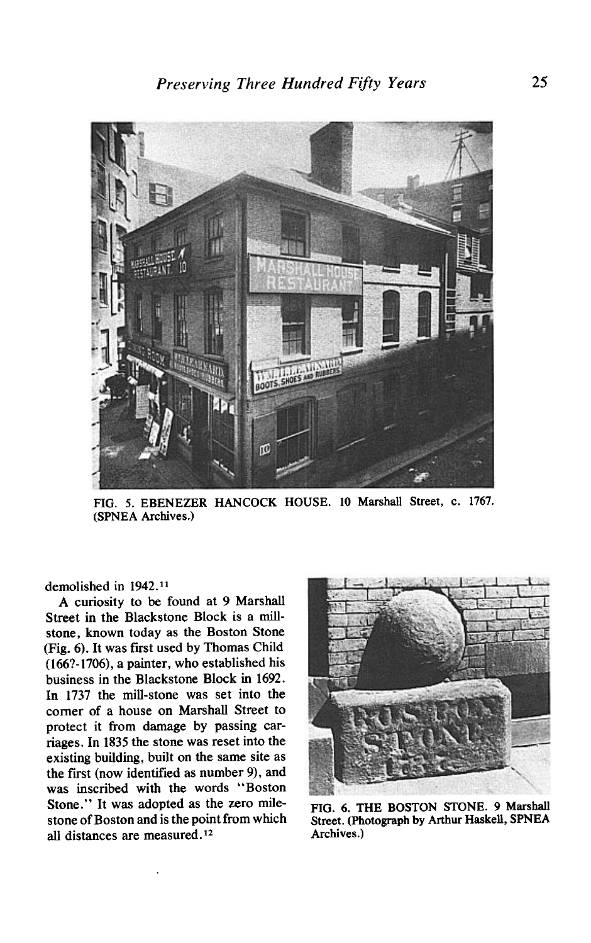

**FIG. 5. EBENEZER HANCOCK HOUSE. 10 Marshall Street, c. 1767. (SPNEA Archives.)** 

**demolished in 1942.11** 

**A curiosity to be found at 9 Marshall Street in the Blackstone Block is a millstone, known today as the Boston Stone (Fig. 6). It was first used by Thomas Child (166?-1706), a painter, who established his business in the Blackstone Block in 1692. In 1737 the mill-stone was set into the comer of a house on Marshall Street to protect it from damage by passing carriages. In 1835 the stone was reset into the existing building, built on the same site as the fist (now identified as number 9), and was inscribed with the words "Boston Stone." It was adopted as the zero milestone of Boston and is the point from which**  all distances are measured.<sup>12</sup>



**FIG. 6. THE BOSTON STONE. 9 Marshall Street. (Photograph by Arthur Haskell, SPNEA Archives.)**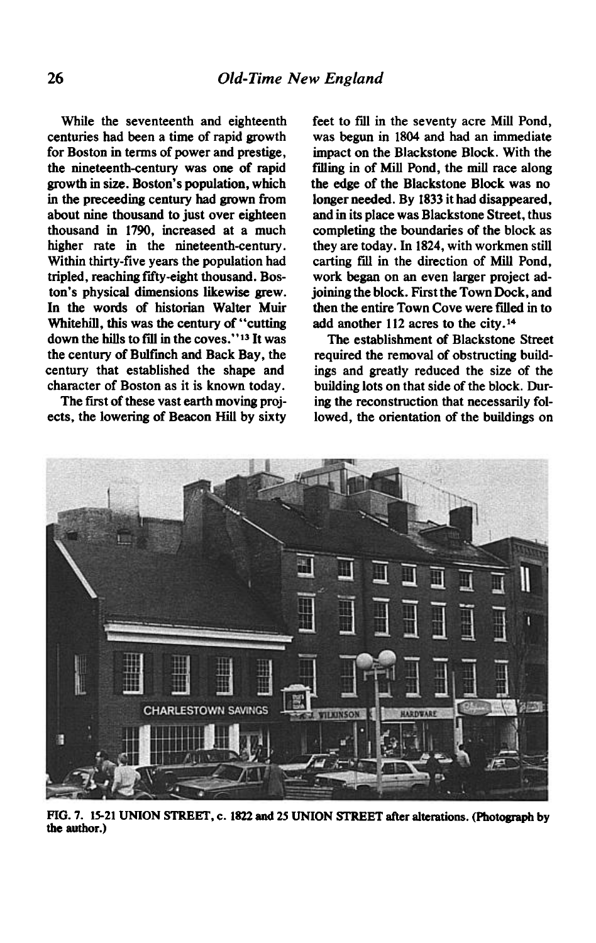**While the seventeenth and eighteenth centuries had been a time of rapid growth for Boston in terms of power and prestige, the nineteenth-century was one of rapid growth in size. Boston's population, which**  in the preceeding century had grown from **about nine thousand to just over eighteen thousand in 1790, increased at a much higher rate in the nineteenth-century. Within thirty-five years the population had tripled, reaching fiity-eight thousand. Boston's physical dimensions likewise grew. In the words of historian Walter Muir Whitehill, this was the century of "cutting**  down the hills to fill in the coves."<sup>13</sup> It was **the century of Bulfinch and Back Bay, the century that established the shape and character of Boston as it is known today.** 

The first of these vast earth moving proj**ects, the lowering of Beacon Hill by sixty** 

feet to fill in the seventy acre Mill Pond, **was begun in 1804 and had an immediate impact on the Blackstone Block. With the ftiing in of Mill Pond, the mill race along the edge of the Blackstone Block was no longer needed. By 1833 it had disappeared, and in its place was Blackstone Street, thus completing the boundaries of the block as they are today. In 1824, with workmen still**  carting fill in the direction of Mill Pond, **work began on an even larger project adjoining the block. First the Town Dock, and then the entire Town Cove were fffled in to add another 112 acres to the city.l\*** 

**The establishment of Blackstone Street required the removal of obstructing buildings and greatly reduced the size of the building lots on that side of the block. During the reconstruction that necessarily followed, the orientation of the buildings on** 



**FIG. 7. 1521 UNION STREET. c. 1822 and 25 UNION STEEET after alterations. (photograph by the author.)**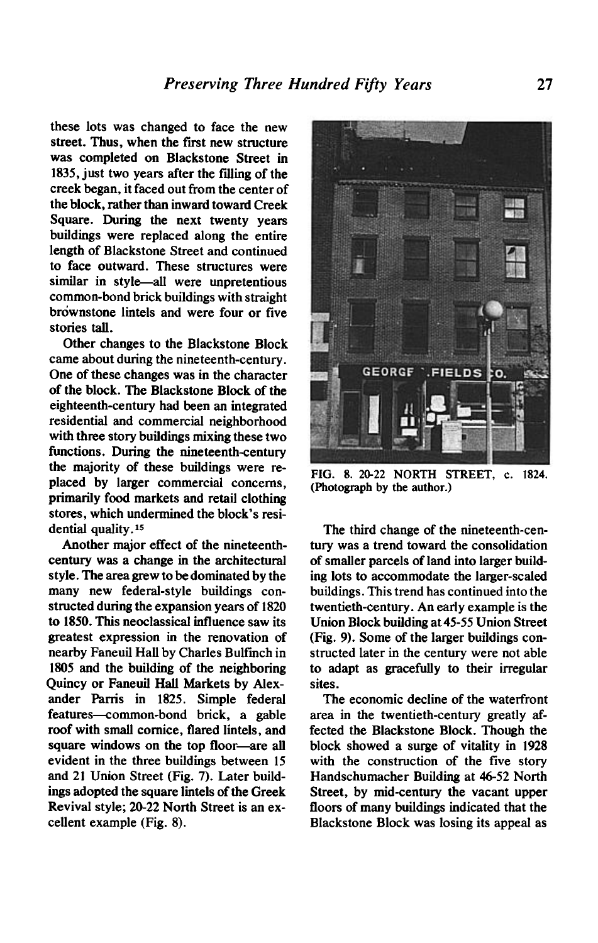**these lots was changed to face the new**  street. Thus, when the first new structure **was completed on Blackstone Street in 1835, just two years after the fiiing of the creek began, it faced out from the center of the block, rather than inward toward Creek Square. During the next twenty years buildings were replaced along the entire length of Blackstone Street and continued to face outward. These structures were similar in style-all were unpretentious common-bond brick buildings with straight**  brownstone lintels and were four or five **stories tall.** 

**Other changes to the Blackstone Block came about during the nineteenth-century. One of these changes was in the character of the block. The Blackstone Block of the eighteenth-century had been an integrated residential and commercial neighborhood with three story buildings mixing these two functions. During the nineteenth-century the majority of these buildings were replaced by larger commercial concerns, primarily food markets and retail clothing stores, which undermined the block's residential quality.15** 

**Another major effect of the nineteenthcentury was a change in the architectural style. The area grew to be dominated by the many new federal-style buildings constructed during the expansion years of 1820 to 1850. This neoclassical influence saw its greatest expression in the renovation of nearby Faneuil Hall by Charles Bulfmch in 1805 and the building of the neighboring Quincy or Faneuil Hall Markets by Alexander Parris in 1825. Simple federal features-ommon-bond brick, a gable roof with small cornice, flared lintels, and**  square windows on the top floor—are all **evident in the three buildings between 15 and 21 Union Street (Fig. 7). Later buildings adopted the square lintels of the Greek Revival style; 20-22 North Street is an excellent example (Fig. 8).** 



**FIG. 8. 20-22 NORTH STREET, c. 1824. (Photograph by the author.)** 

**The third change of the nineteenth-century was a trend toward the consolidation of smaller parcels of land into larger building lots to accommodate the larger-scaled buildings. This trend has continued into the twentieth-century. An early example is the Union Block building at 45-55 Union Street (Fig. 9). Some of the larger buildings constructed later in the century were not able to adapt as gracefully to their irregular sites.** 

**The economic decline of the waterfront area in the twentieth-century greatly affected the Blackstone Block. Though the block showed a surge of vitality in 1928 with the construction of the five story Handschumacher Building at 46-52 North Street, by mid-century the vacant upper floors of many buildings indicated that the Blackstone Block was losing its appeal as**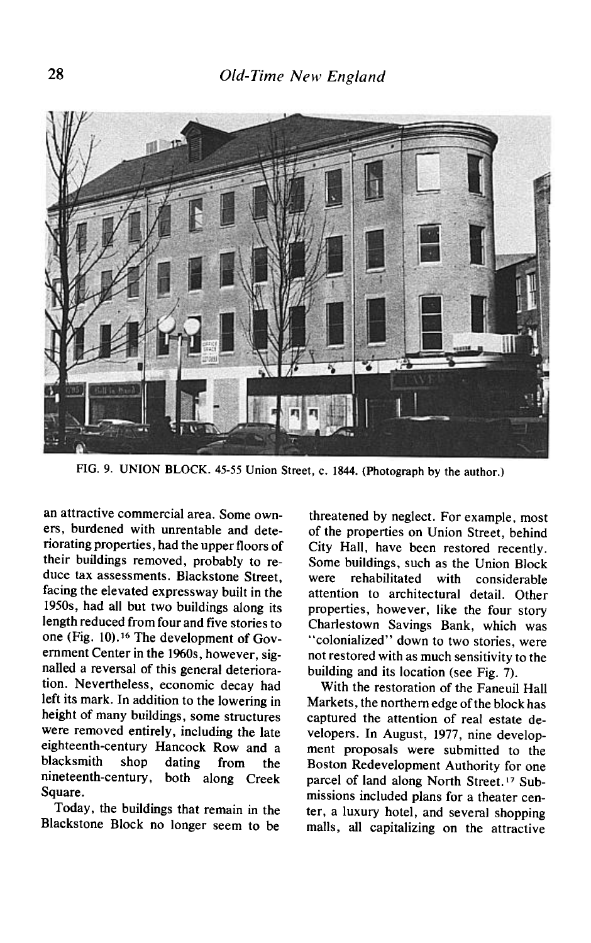

**FIG. 9. UNION BLOCK. 45-55 Union Street, c. 1844. (Photograph by the author.)** 

**an attractive commercial area. Some owners, burdened with unrentable and deteriorating properties, had the upper floors of their buildings removed, probably to reduce tax assessments. Blackstone Street, facing the elevated expressway built in the 195Os, had all but two buildings along its length reduced from four and five stories to**  one (Fig. 10).<sup>16</sup> The development of Government Center in the 1960s, however, sig**nalled a reversal of this general deterioration. Nevertheless, economic decay had left its mark. In addition to the lowering in height of many buildings, some structures were removed entirely, including the late eighteenth-century Hancock Row and a blacksmith shop dating from the nineteenth-century, both along Creek Square.** 

**Today, the buildings that remain in the Blackstone Block no longer seem to be** 

**threatened by neglect. For example, most of the properties on Union Street, behind City Hall, have been restored recently. Some buildings, such as the Union Block were rehabilitated with considerable attention to architectural detail. Other properties, however, like the four story Charlestown Savings Bank, which was "colonialized" down to two stories, were not restored with as much sensitivity to the building and its location (see Fig. 7).** 

**With the restoration of the Faneuil Hall Markets, the northern edge of the block has captured the attention of real estate developers. In August, 1977, nine development proposals were submitted to the Boston Redevelopment Authority for one parcel of land along North Street." Submissions included plans for a theater center, a luxury hotel, and several shopping malls, all capitalizing on the attractive**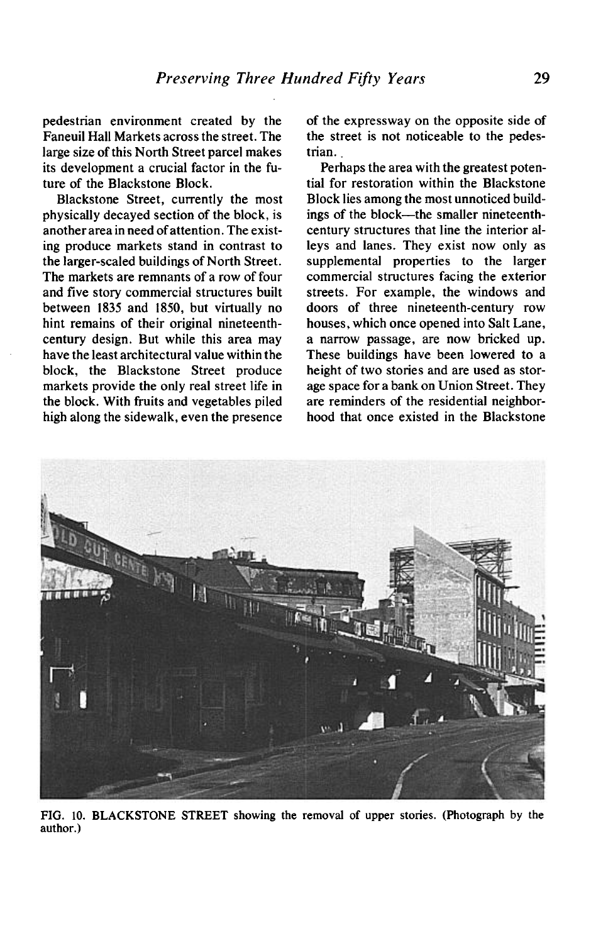**pedestrian environment created by the Faneuil Hall Markets across the street. The large size of this North Street parcel makes its development a crucial factor in the future of the Blackstone Block.** 

**Blackstone Street, currently the most physically decayed section of the block, is another area in need of attention. The existing produce markets stand in contrast to the larger-scaled buildings of North Street. The markets are remnants of a row of four and five story commercial structures built between 1835 and 1850, but virtually no hint remains of their original nineteenthcentury design. But while this area may have the least architectural value within the block, the Blackstone Street produce markets provide the only real street life in the block. With fruits and vegetables piled high along the sidewalk, even the presence**  **of the expressway on the opposite side of the street is not noticeable to the pedestrian.** 

**Perhaps the area with the greatest potential for restoration within the Blackstone Block lies among the most unnoticed build**ings of the block—the smaller nineteenth**century structures that line the interior alleys and lanes. They exist now only as supplemental properties to the larger commercial structures facing the exterior streets. For example, the windows and doors of three nineteenth-century row houses, which once opened into Salt Lane, a narrow passage, are now bricked up. These buildings have been lowered to a height of two stories and are used as storage space for a bank on Union Street. They are reminders of the residential neighborhood that once existed in the Blackstone** 



**FIG. 10. BLACKSTONE STREET showing the removal of upper stories. (Photograph by the author.)**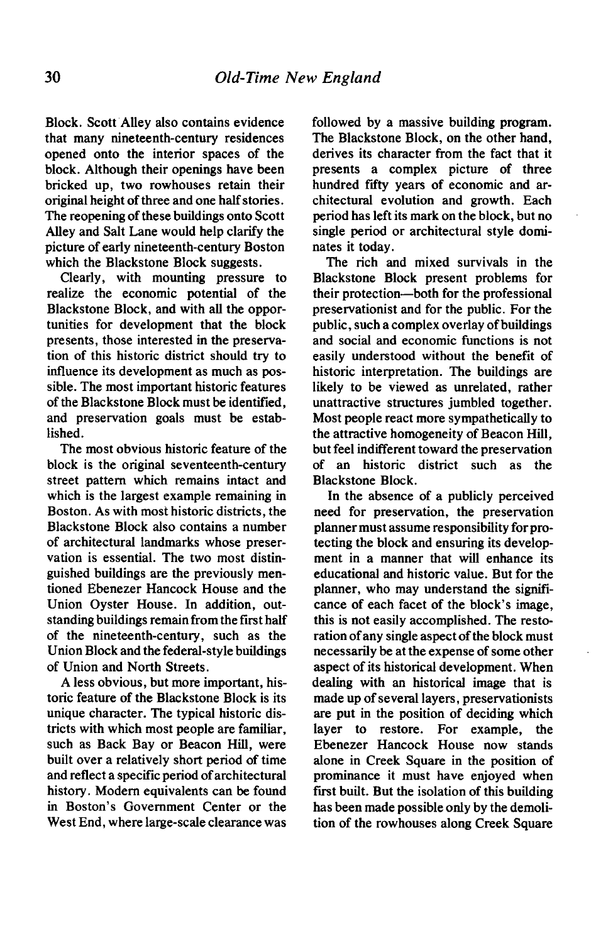**Block. Scott Alley also contains evidence that many nineteenth-century residences opened onto the interior spaces of the block. Although their openings have been bricked up, two rowhouses retain their original height of three and one half stories. The reopening of these buildings onto Scott Alley and Salt Lane would help clarify the picture of early nineteenth-century Boston which the Blackstone Block suggests.** 

**Clearly, with mounting pressure to realize the economic potential of the Blackstone Block, and with all the opportunities for development that the block presents, those interested in the preservation of this historic district should try to influence its development as much as possible. The most important historic features of the Blackstone Block must be identified, and preservation goals must be established.** 

**The most obvious historic feature of the block is the original seventeenth-century street pattern which remains intact and which is the largest example remaining in Boston. As with most historic districts, the Blackstone Block also contains a number of architectural landmarks whose preservation is essential. The two most distinguished buildings are the previously mentioned Ebenezer Hancock House and the Union Oyster House. In addition, outstanding buildings remain from the first half of the nineteenth-century, such as the Union Block and the federal-style buildings of Union and North Streets.** 

**A less obvious, but more important, historic feature of the Blackstone Block is its unique character. The typical historic districts with which most people are familiar, such as Back Bay or Beacon Hill, were built over a relatively short period of time and reflect a specific period of architectural history. Modem equivalents can be found in Boston's Government Center or the West End, where large-scale clearance was**  **followed by a massive building program. The Blackstone Block, on the other hand, derives its character from the fact that it presents a complex picture of three**  hundred fifty years of economic and ar**chitectural evolution and growth. Each period has left its mark on the block, but no single period or architectural style dominates it today.** 

**The rich and mixed survivals in the Blackstone Block present problems for their protection-both for the professional preservationist and for the public. For the public, such a complex overlay of buildings and social and economic functions is not easily understood without the benefit of historic interpretation. The buildings are likely to be viewed as unrelated, rather unattractive structures jumbled together. Most people react more sympathetically to the attractive homogeneity of Beacon Hill, but feel indifferent toward the preservation of an historic district such as the Blackstone Block.** 

**In the absence of a publicly perceived need for preservation, the preservation**  planner must assume responsibility for pro**tecting the block and ensuring its development in a manner that will enhance its educational and historic value. But for the planner, who may understand the significance of each facet of the block's image, this is not easily accomplished. The restoration of any single aspect of the block must necessarily be at the expense of some other aspect of its historical development. When dealing with an historical image that is made up of several layers, preservationists are put in the position of deciding which layer to restore. For example, the Ebenezer Hancock House now stands alone in Creek Square in the position of prominance it must have enjoyed when**  first built. But the isolation of this building **has been made possible only by the demolition of the rowhouses along Creek Square**